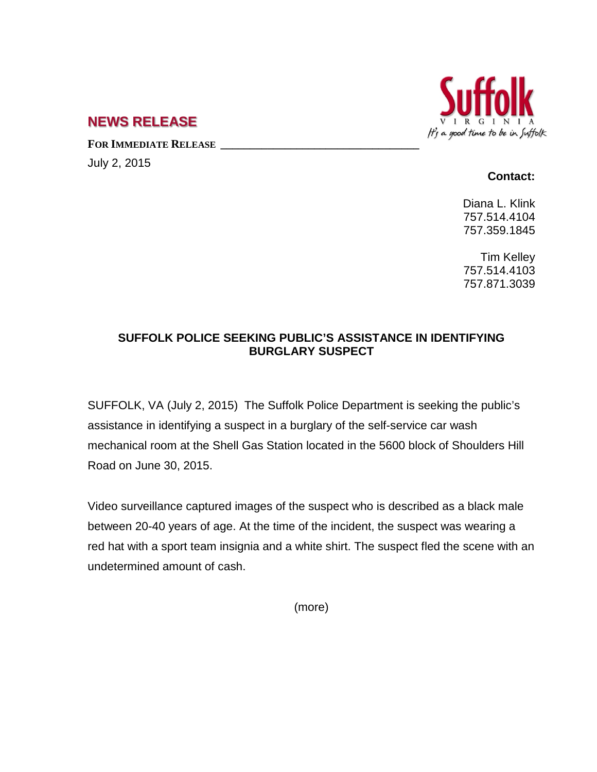

## **NEWS RELEASE**

FOR **IMMEDIATE RELEASE** 

July 2, 2015

## **Contact:**

Diana L. Klink 757.514.4104 757.359.1845

Tim Kelley 757.514.4103 757.871.3039

## **SUFFOLK POLICE SEEKING PUBLIC'S ASSISTANCE IN IDENTIFYING BURGLARY SUSPECT**

SUFFOLK, VA (July 2, 2015) The Suffolk Police Department is seeking the public's assistance in identifying a suspect in a burglary of the self-service car wash mechanical room at the Shell Gas Station located in the 5600 block of Shoulders Hill Road on June 30, 2015.

Video surveillance captured images of the suspect who is described as a black male between 20-40 years of age. At the time of the incident, the suspect was wearing a red hat with a sport team insignia and a white shirt. The suspect fled the scene with an undetermined amount of cash.

(more)